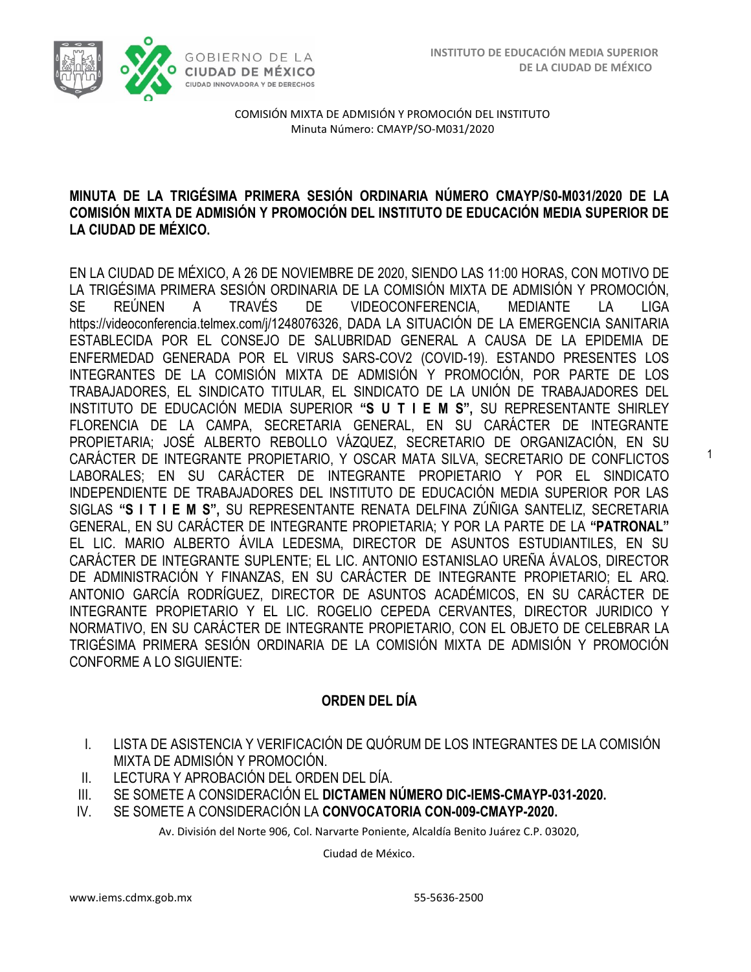1



COMISIÓN MIXTA DE ADMISIÓN Y PROMOCIÓN DEL INSTITUTO Minuta Número: CMAYP/SO-M031/2020

### **MINUTA DE LA TRIGÉSIMA PRIMERA SESIÓN ORDINARIA NÚMERO CMAYP/S0-M031/2020 DE LA COMISIÓN MIXTA DE ADMISIÓN Y PROMOCIÓN DEL INSTITUTO DE EDUCACIÓN MEDIA SUPERIOR DE LA CIUDAD DE MÉXICO.**

EN LA CIUDAD DE MÉXICO, A 26 DE NOVIEMBRE DE 2020, SIENDO LAS 11:00 HORAS, CON MOTIVO DE LA TRIGÉSIMA PRIMERA SESIÓN ORDINARIA DE LA COMISIÓN MIXTA DE ADMISIÓN Y PROMOCIÓN, SE REÚNEN A TRAVÉS DE VIDEOCONFERENCIA, MEDIANTE LA LIGA https://videoconferencia.telmex.com/j/1248076326, DADA LA SITUACIÓN DE LA EMERGENCIA SANITARIA ESTABLECIDA POR EL CONSEJO DE SALUBRIDAD GENERAL A CAUSA DE LA EPIDEMIA DE ENFERMEDAD GENERADA POR EL VIRUS SARS-COV2 (COVID-19). ESTANDO PRESENTES LOS INTEGRANTES DE LA COMISIÓN MIXTA DE ADMISIÓN Y PROMOCIÓN, POR PARTE DE LOS TRABAJADORES, EL SINDICATO TITULAR, EL SINDICATO DE LA UNIÓN DE TRABAJADORES DEL INSTITUTO DE EDUCACIÓN MEDIA SUPERIOR **"S U T I E M S",** SU REPRESENTANTE SHIRLEY FLORENCIA DE LA CAMPA, SECRETARIA GENERAL, EN SU CARÁCTER DE INTEGRANTE PROPIETARIA; JOSÉ ALBERTO REBOLLO VÁZQUEZ, SECRETARIO DE ORGANIZACIÓN, EN SU CARÁCTER DE INTEGRANTE PROPIETARIO, Y OSCAR MATA SILVA, SECRETARIO DE CONFLICTOS LABORALES; EN SU CARÁCTER DE INTEGRANTE PROPIETARIO Y POR EL SINDICATO INDEPENDIENTE DE TRABAJADORES DEL INSTITUTO DE EDUCACIÓN MEDIA SUPERIOR POR LAS SIGLAS **"S I T I E M S",** SU REPRESENTANTE RENATA DELFINA ZÚÑIGA SANTELIZ, SECRETARIA GENERAL, EN SU CARÁCTER DE INTEGRANTE PROPIETARIA; Y POR LA PARTE DE LA **"PATRONAL"**  EL LIC. MARIO ALBERTO ÁVILA LEDESMA, DIRECTOR DE ASUNTOS ESTUDIANTILES, EN SU CARÁCTER DE INTEGRANTE SUPLENTE; EL LIC. ANTONIO ESTANISLAO UREÑA ÁVALOS, DIRECTOR DE ADMINISTRACIÓN Y FINANZAS, EN SU CARÁCTER DE INTEGRANTE PROPIETARIO; EL ARQ. ANTONIO GARCÍA RODRÍGUEZ, DIRECTOR DE ASUNTOS ACADÉMICOS, EN SU CARÁCTER DE INTEGRANTE PROPIETARIO Y EL LIC. ROGELIO CEPEDA CERVANTES, DIRECTOR JURIDICO Y NORMATIVO, EN SU CARÁCTER DE INTEGRANTE PROPIETARIO, CON EL OBJETO DE CELEBRAR LA TRIGÉSIMA PRIMERA SESIÓN ORDINARIA DE LA COMISIÓN MIXTA DE ADMISIÓN Y PROMOCIÓN CONFORME A LO SIGUIENTE:

## **ORDEN DEL DÍA**

- I. LISTA DE ASISTENCIA Y VERIFICACIÓN DE QUÓRUM DE LOS INTEGRANTES DE LA COMISIÓN MIXTA DE ADMISIÓN Y PROMOCIÓN.
- II. LECTURA Y APROBACIÓN DEL ORDEN DEL DÍA.
- III. SE SOMETE A CONSIDERACIÓN EL **DICTAMEN NÚMERO DIC-IEMS-CMAYP-031-2020.**
- IV. SE SOMETE A CONSIDERACIÓN LA **CONVOCATORIA CON-009-CMAYP-2020.**

Av. División del Norte 906, Col. Narvarte Poniente, Alcaldía Benito Juárez C.P. 03020,

Ciudad de México.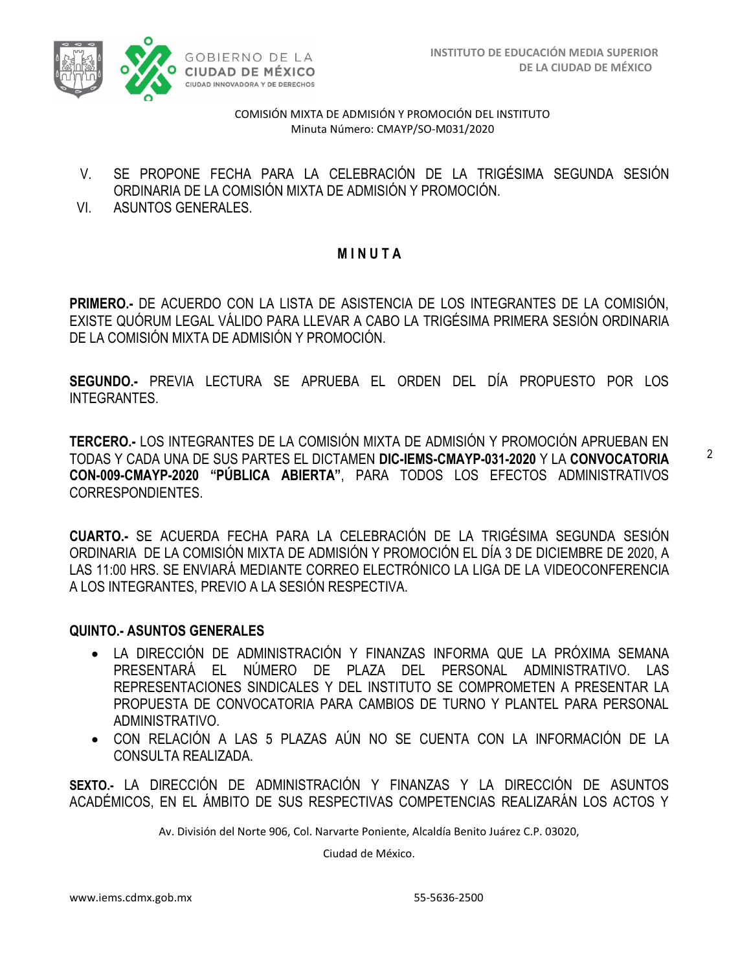

- V. SE PROPONE FECHA PARA LA CELEBRACIÓN DE LA TRIGÉSIMA SEGUNDA SESIÓN ORDINARIA DE LA COMISIÓN MIXTA DE ADMISIÓN Y PROMOCIÓN.
- VI. ASUNTOS GENERALES.

### **M I N U T A**

**PRIMERO.-** DE ACUERDO CON LA LISTA DE ASISTENCIA DE LOS INTEGRANTES DE LA COMISIÓN, EXISTE QUÓRUM LEGAL VÁLIDO PARA LLEVAR A CABO LA TRIGÉSIMA PRIMERA SESIÓN ORDINARIA DE LA COMISIÓN MIXTA DE ADMISIÓN Y PROMOCIÓN.

**SEGUNDO.-** PREVIA LECTURA SE APRUEBA EL ORDEN DEL DÍA PROPUESTO POR LOS INTEGRANTES.

**TERCERO.-** LOS INTEGRANTES DE LA COMISIÓN MIXTA DE ADMISIÓN Y PROMOCIÓN APRUEBAN EN TODAS Y CADA UNA DE SUS PARTES EL DICTAMEN **DIC-IEMS-CMAYP-031-2020** Y LA **CONVOCATORIA CON-009-CMAYP-2020 "PÚBLICA ABIERTA"**, PARA TODOS LOS EFECTOS ADMINISTRATIVOS CORRESPONDIENTES.

**CUARTO.-** SE ACUERDA FECHA PARA LA CELEBRACIÓN DE LA TRIGÉSIMA SEGUNDA SESIÓN ORDINARIA DE LA COMISIÓN MIXTA DE ADMISIÓN Y PROMOCIÓN EL DÍA 3 DE DICIEMBRE DE 2020, A LAS 11:00 HRS. SE ENVIARÁ MEDIANTE CORREO ELECTRÓNICO LA LIGA DE LA VIDEOCONFERENCIA A LOS INTEGRANTES, PREVIO A LA SESIÓN RESPECTIVA.

#### **QUINTO.- ASUNTOS GENERALES**

- LA DIRECCIÓN DE ADMINISTRACIÓN Y FINANZAS INFORMA QUE LA PRÓXIMA SEMANA PRESENTARÁ EL NÚMERO DE PLAZA DEL PERSONAL ADMINISTRATIVO. LAS REPRESENTACIONES SINDICALES Y DEL INSTITUTO SE COMPROMETEN A PRESENTAR LA PROPUESTA DE CONVOCATORIA PARA CAMBIOS DE TURNO Y PLANTEL PARA PERSONAL ADMINISTRATIVO.
- CON RELACIÓN A LAS 5 PLAZAS AÚN NO SE CUENTA CON LA INFORMACIÓN DE LA CONSULTA REALIZADA.

**SEXTO.-** LA DIRECCIÓN DE ADMINISTRACIÓN Y FINANZAS Y LA DIRECCIÓN DE ASUNTOS ACADÉMICOS, EN EL ÁMBITO DE SUS RESPECTIVAS COMPETENCIAS REALIZARÁN LOS ACTOS Y

Av. División del Norte 906, Col. Narvarte Poniente, Alcaldía Benito Juárez C.P. 03020,

Ciudad de México.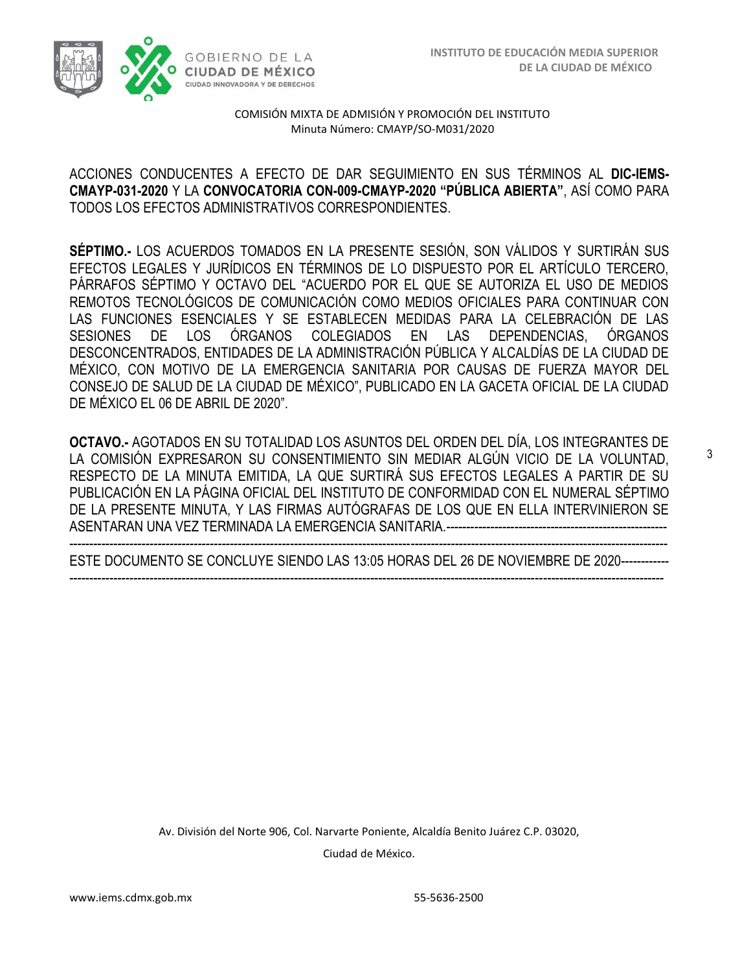

#### ACCIONES CONDUCENTES A EFECTO DE DAR SEGUIMIENTO EN SUS TÉRMINOS AL **DIC-IEMS-CMAYP-031-2020** Y LA **CONVOCATORIA CON-009-CMAYP-2020 "PÚBLICA ABIERTA"**, ASÍ COMO PARA TODOS LOS EFECTOS ADMINISTRATIVOS CORRESPONDIENTES.

**SÉPTIMO.-** LOS ACUERDOS TOMADOS EN LA PRESENTE SESIÓN, SON VÁLIDOS Y SURTIRÁN SUS EFECTOS LEGALES Y JURÍDICOS EN TÉRMINOS DE LO DISPUESTO POR EL ARTÍCULO TERCERO, PÁRRAFOS SÉPTIMO Y OCTAVO DEL "ACUERDO POR EL QUE SE AUTORIZA EL USO DE MEDIOS REMOTOS TECNOLÓGICOS DE COMUNICACIÓN COMO MEDIOS OFICIALES PARA CONTINUAR CON LAS FUNCIONES ESENCIALES Y SE ESTABLECEN MEDIDAS PARA LA CELEBRACIÓN DE LAS SESIONES DE LOS ÓRGANOS COLEGIADOS EN LAS DEPENDENCIAS, ÓRGANOS DESCONCENTRADOS, ENTIDADES DE LA ADMINISTRACIÓN PÚBLICA Y ALCALDÍAS DE LA CIUDAD DE MÉXICO, CON MOTIVO DE LA EMERGENCIA SANITARIA POR CAUSAS DE FUERZA MAYOR DEL CONSEJO DE SALUD DE LA CIUDAD DE MÉXICO", PUBLICADO EN LA GACETA OFICIAL DE LA CIUDAD DE MÉXICO EL 06 DE ABRIL DE 2020".

**OCTAVO.-** AGOTADOS EN SU TOTALIDAD LOS ASUNTOS DEL ORDEN DEL DÍA, LOS INTEGRANTES DE LA COMISIÓN EXPRESARON SU CONSENTIMIENTO SIN MEDIAR ALGÚN VICIO DE LA VOLUNTAD, RESPECTO DE LA MINUTA EMITIDA, LA QUE SURTIRÁ SUS EFECTOS LEGALES A PARTIR DE SU PUBLICACIÓN EN LA PÁGINA OFICIAL DEL INSTITUTO DE CONFORMIDAD CON EL NUMERAL SÉPTIMO DE LA PRESENTE MINUTA, Y LAS FIRMAS AUTÓGRAFAS DE LOS QUE EN ELLA INTERVINIERON SE ASENTARAN UNA VEZ TERMINADA LA EMERGENCIA SANITARIA.-------------------------------------------------------

----------------------------------------------------------------------------------------------------------------------------------------------------- ESTE DOCUMENTO SE CONCLUYE SIENDO LAS 13:05 HORAS DEL 26 DE NOVIEMBRE DE 2020--------------------------------------------------------------------------------------------------------------------------------------------------------

> Av. División del Norte 906, Col. Narvarte Poniente, Alcaldía Benito Juárez C.P. 03020, Ciudad de México.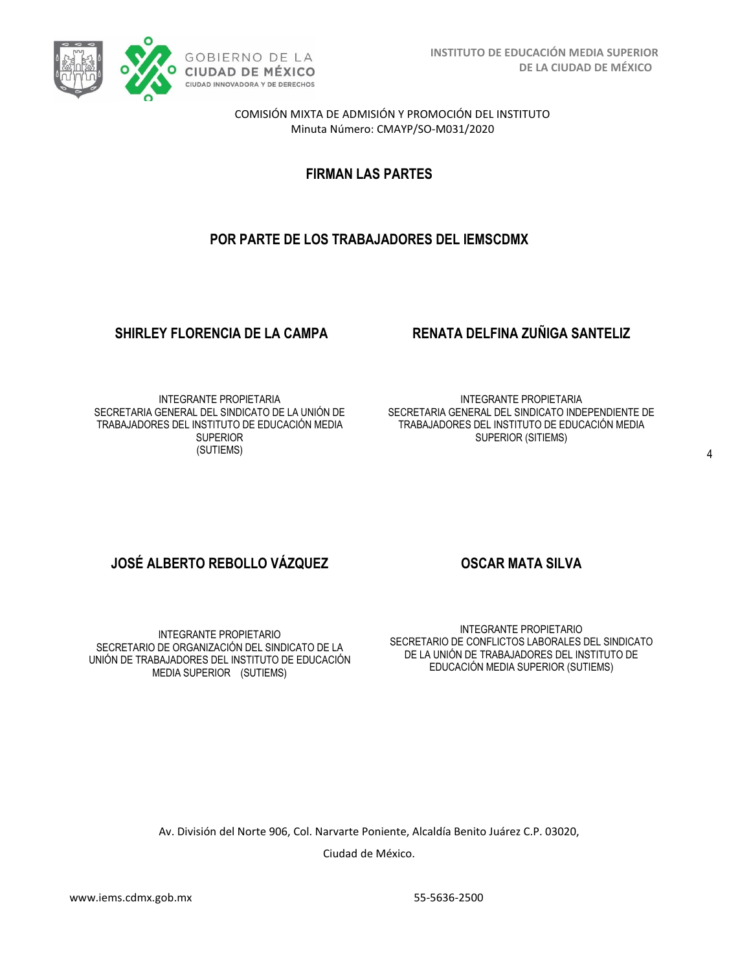

**FIRMAN LAS PARTES**

# **POR PARTE DE LOS TRABAJADORES DEL IEMSCDMX**

### **SHIRLEY FLORENCIA DE LA CAMPA RENATA DELFINA ZUÑIGA SANTELIZ**

INTEGRANTE PROPIETARIA SECRETARIA GENERAL DEL SINDICATO DE LA UNIÓN DE TRABAJADORES DEL INSTITUTO DE EDUCACIÓN MEDIA **SUPERIOR** (SUTIEMS)

INTEGRANTE PROPIETARIA SECRETARIA GENERAL DEL SINDICATO INDEPENDIENTE DE TRABAJADORES DEL INSTITUTO DE EDUCACIÓN MEDIA SUPERIOR (SITIEMS)

# **JOSÉ ALBERTO REBOLLO VÁZQUEZ OSCAR MATA SILVA**

INTEGRANTE PROPIETARIO SECRETARIO DE ORGANIZACIÓN DEL SINDICATO DE LA UNIÓN DE TRABAJADORES DEL INSTITUTO DE EDUCACIÓN MEDIA SUPERIOR (SUTIEMS)

INTEGRANTE PROPIETARIO SECRETARIO DE CONFLICTOS LABORALES DEL SINDICATO DE LA UNIÓN DE TRABAJADORES DEL INSTITUTO DE EDUCACIÓN MEDIA SUPERIOR (SUTIEMS)

Av. División del Norte 906, Col. Narvarte Poniente, Alcaldía Benito Juárez C.P. 03020,

Ciudad de México.